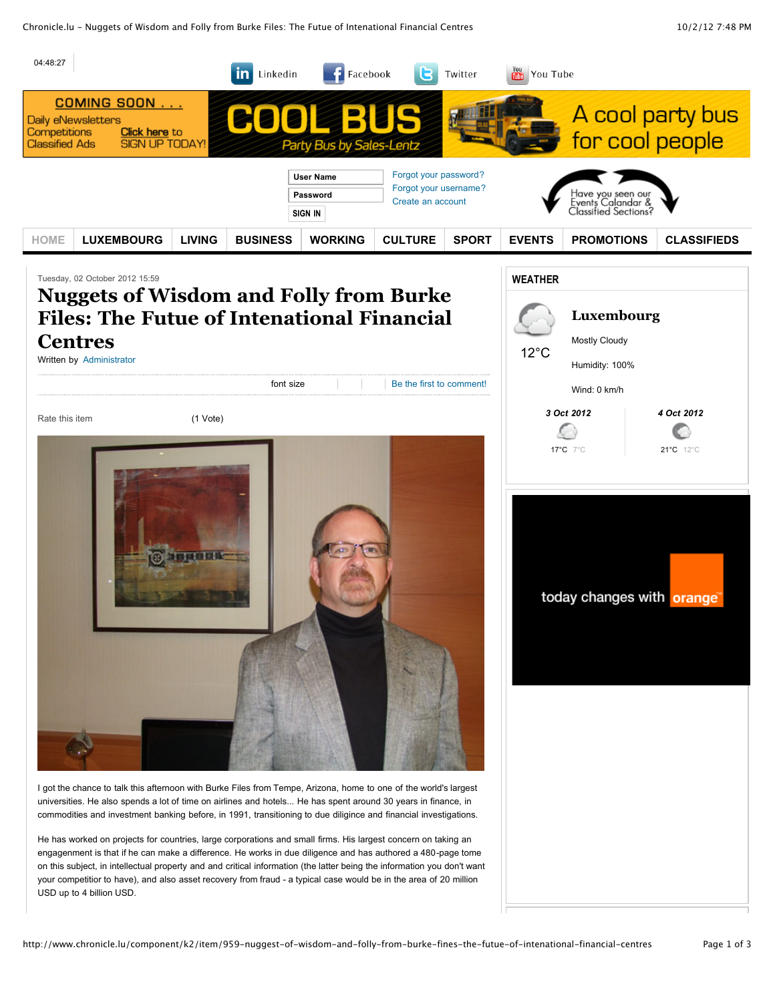Chronicle.lu - Nuggets of Wisdom and Folly from Burke Files: The Futue of Intenational Financial Centres 10/2/12 7:48 PM

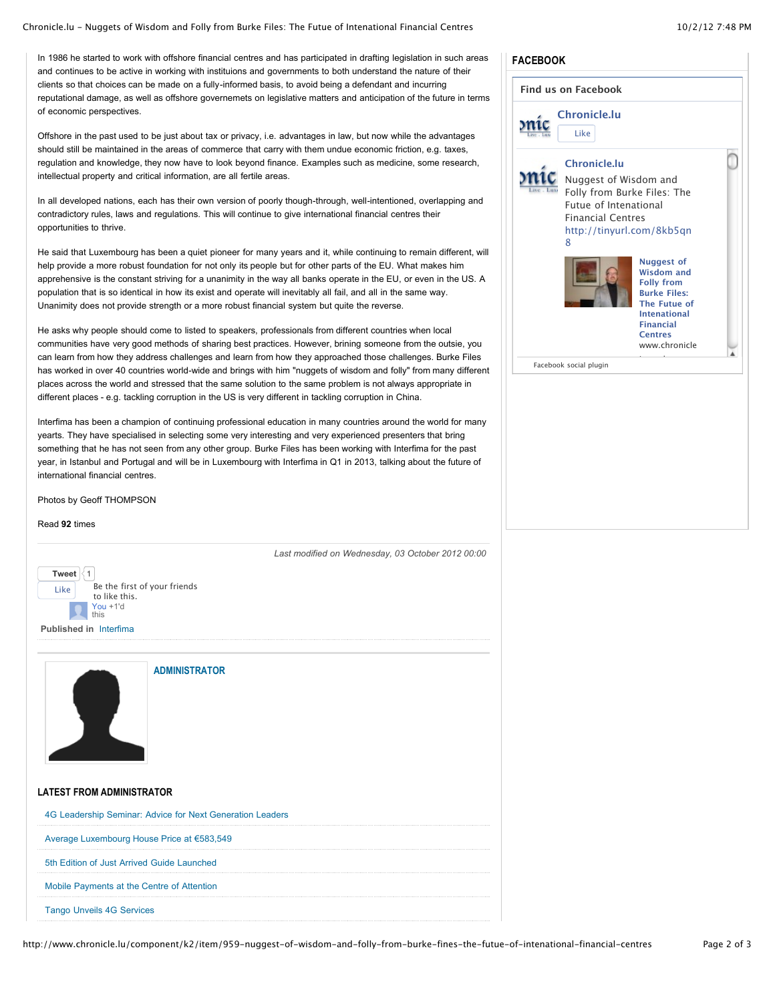### Chronicle.lu - Nuggets of Wisdom and Folly from Burke Files: The Futue of Intenational Financial Centres 10/2/12 7:48 PM

In 1986 he started to work with offshore financial centres and has participated in drafting legislation in such areas **FACEBOOK** and continues to be active in working with instituions and governments to both understand the nature of their clients so that choices can be made on a fully-informed basis, to avoid being a defendant and incurring reputational damage, as well as offshore governemets on legislative matters and anticipation of the future in terms of economic perspectives.

Offshore in the past used to be just about tax or privacy, i.e. advantages in law, but now while the advantages should still be maintained in the areas of commerce that carry with them undue economic friction, e.g. taxes, regulation and knowledge, they now have to look beyond finance. Examples such as medicine, some research, intellectual property and critical information, are all fertile areas.

In all developed nations, each has their own version of poorly though-through, well-intentioned, overlapping and contradictory rules, laws and regulations. This will continue to give international financial centres their opportunities to thrive.

He said that Luxembourg has been a quiet pioneer for many years and it, while continuing to remain different, will help provide a more robust foundation for not only its people but for other parts of the EU. What makes him apprehensive is the constant striving for a unanimity in the way all banks operate in the EU, or even in the US. A population that is so identical in how its exist and operate will inevitably all fail, and all in the same way. Unanimity does not provide strength or a more robust financial system but quite the reverse.

He asks why people should come to listed to speakers, professionals from different countries when local communities have very good methods of sharing best practices. However, brining someone from the outsie, you can learn from how they address challenges and learn from how they approached those challenges. Burke Files has worked in over 40 countries world-wide and brings with him "nuggets of wisdom and folly" from many different places across the world and stressed that the same solution to the same problem is not always appropriate in different places - e.g. tackling corruption in the US is very different in tackling corruption in China.

Interfima has been a champion of continuing professional education in many countries around the world for many yearts. They have specialised in selecting some very interesting and very experienced presenters that bring something that he has not seen from any other group. Burke Files has been working with Interfima for the past year, in Istanbul and Portugal and will be in Luxembourg with Interfima in Q1 in 2013, talking about the future of international financial centres.

Photos by Geoff THOMPSON

#### Read **92** times





**[ADMINISTRATOR](http://www.chronicle.lu/component/k2/itemlist/user/42-administrator)**

# **LATEST FROM ADMINISTRATOR**

| 4G Leadership Seminar: Advice for Next Generation Leaders |  |
|-----------------------------------------------------------|--|
| Average Luxembourg House Price at €583,549                |  |
| 5th Edition of Just Arrived Guide Launched                |  |
| Mobile Payments at the Centre of Attention                |  |
| <b>Tango Unveils 4G Services</b>                          |  |

| <b>Chronicle.lu</b><br>Like    |                                                                                                                                                                 |
|--------------------------------|-----------------------------------------------------------------------------------------------------------------------------------------------------------------|
| Chronicle.lu                   |                                                                                                                                                                 |
| Nuggest of Wisdom and          |                                                                                                                                                                 |
| Folly from Burke Files: The    |                                                                                                                                                                 |
| Futue of Intenational          |                                                                                                                                                                 |
| <b>Financial Centres</b>       |                                                                                                                                                                 |
| http://tinyurl.com/8kb5qn<br>8 |                                                                                                                                                                 |
|                                | <b>Nuggest of</b><br><b>Wisdom and</b><br><b>Folly from</b><br><b>Burke Files:</b><br>The Futue of<br><b>Intenational</b><br><b>Financial</b><br><b>Centres</b> |
|                                | www.chronicle                                                                                                                                                   |
| Facebook social plugin         |                                                                                                                                                                 |

*Last modified on Wednesday, 03 October 2012 00:00*